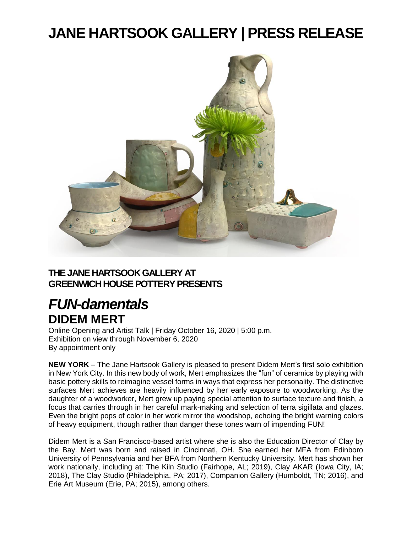# **JANE HARTSOOK GALLERY | PRESS RELEASE**



#### **THE JANE HARTSOOK GALLERY AT GREENWICH HOUSE POTTERY PRESENTS**

### *FUN-damentals* **DIDEM MERT**

Online Opening and Artist Talk | Friday October 16, 2020 | 5:00 p.m. Exhibition on view through November 6, 2020 By appointment only

**NEW YORK** – The Jane Hartsook Gallery is pleased to present Didem Mert's first solo exhibition in New York City. In this new body of work, Mert emphasizes the "fun" of ceramics by playing with basic pottery skills to reimagine vessel forms in ways that express her personality. The distinctive surfaces Mert achieves are heavily influenced by her early exposure to woodworking. As the daughter of a woodworker, Mert grew up paying special attention to surface texture and finish, a focus that carries through in her careful mark-making and selection of terra sigillata and glazes. Even the bright pops of color in her work mirror the woodshop, echoing the bright warning colors of heavy equipment, though rather than danger these tones warn of impending FUN!

Didem Mert is a San Francisco-based artist where she is also the Education Director of Clay by the Bay. Mert was born and raised in Cincinnati, OH. She earned her MFA from Edinboro University of Pennsylvania and her BFA from Northern Kentucky University. Mert has shown her work nationally, including at: The Kiln Studio (Fairhope, AL; 2019), Clay AKAR (Iowa City, IA; 2018), The Clay Studio (Philadelphia, PA; 2017), Companion Gallery (Humboldt, TN; 2016), and Erie Art Museum (Erie, PA; 2015), among others.